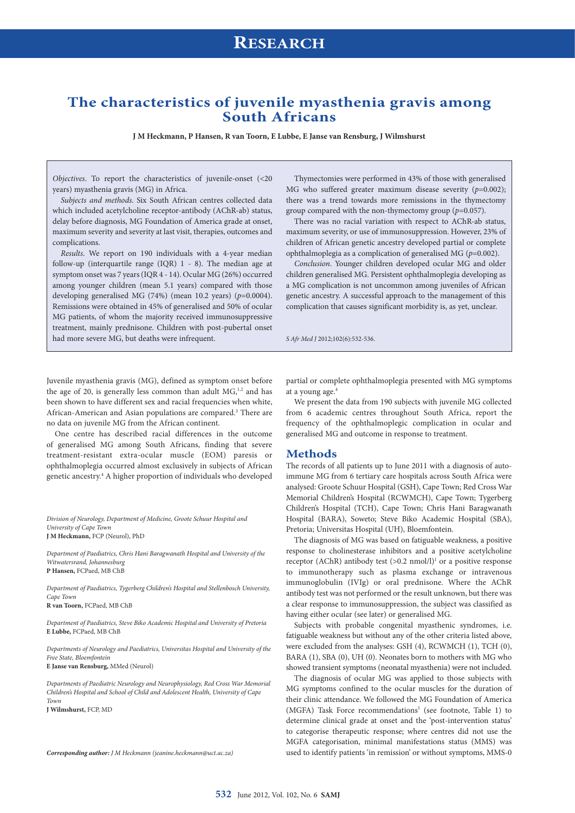### **The characteristics of juvenile myasthenia gravis among South Africans**

**J M Heckmann, P Hansen, R van Toorn, E Lubbe, E Janse van Rensburg, J Wilmshurst**

*Objectives*. To report the characteristics of juvenile-onset (<20 years) myasthenia gravis (MG) in Africa.

*Subjects and methods*. Six South African centres collected data which included acetylcholine receptor-antibody (AChR-ab) status, delay before diagnosis, MG Foundation of America grade at onset, maximum severity and severity at last visit, therapies, outcomes and complications.

*Results*. We report on 190 individuals with a 4-year median follow-up (interquartile range (IQR) 1 - 8). The median age at symptom onset was 7 years (IQR 4 - 14). Ocular MG (26%) occurred among younger children (mean 5.1 years) compared with those developing generalised MG (74%) (mean 10.2 years) (*p*=0.0004). Remissions were obtained in 45% of generalised and 50% of ocular MG patients, of whom the majority received immunosuppressive treatment, mainly prednisone. Children with post-pubertal onset had more severe MG, but deaths were infrequent.

Thymectomies were performed in 43% of those with generalised MG who suffered greater maximum disease severity (*p*=0.002); there was a trend towards more remissions in the thymectomy group compared with the non-thymectomy group (*p*=0.057).

There was no racial variation with respect to AChR-ab status, maximum severity, or use of immunosuppression. However, 23% of children of African genetic ancestry developed partial or complete ophthalmoplegia as a complication of generalised MG (*p*=0.002).

*Conclusion*. Younger children developed ocular MG and older children generalised MG. Persistent ophthalmoplegia developing as a MG complication is not uncommon among juveniles of African genetic ancestry. A successful approach to the management of this complication that causes significant morbidity is, as yet, unclear.

*S Afr Med J* 2012;102(6):532-536.

Juvenile myasthenia gravis (MG), defined as symptom onset before the age of 20, is generally less common than adult  $MG<sub>1,2</sub>$  and has been shown to have different sex and racial frequencies when white, African-American and Asian populations are compared.<sup>3</sup> There are no data on juvenile MG from the African continent.

One centre has described racial differences in the outcome of generalised MG among South Africans, finding that severe treatment-resistant extra-ocular muscle (EOM) paresis or ophthalmoplegia occurred almost exclusively in subjects of African genetic ancestry.4 A higher proportion of individuals who developed

*Division of Neurology, Department of Medicine, Groote Schuur Hospital and University of Cape Town* **J M Heckmann,** FCP (Neurol), PhD

*Department of Paediatrics, Chris Hani Baragwanath Hospital and University of the Witwatersrand, Johannesburg* **P Hansen,** FCPaed, MB ChB

*Department of Paediatrics, Tygerberg Children's Hospital and Stellenbosch University, Cape Town* **R van Toorn,** FCPaed, MB ChB

*Department of Paediatrics, Steve Biko Academic Hospital and University of Pretoria* **E Lubbe,** FCPaed, MB ChB

*Departments of Neurology and Paediatrics, Universitas Hospital and University of the Free State, Bloemfontein* **E Janse van Rensburg,** MMed (Neurol)

*Departments of Paediatric Neurology and Neurophysiology, Red Cross War Memorial Children's Hospital and School of Child and Adolescent Health, University of Cape Town*

**J Wilmshurst,** FCP, MD

*Corresponding author: J M Heckmann (jeanine.heckmann@uct.ac.za)*

partial or complete ophthalmoplegia presented with MG symptoms at a young age.4

We present the data from 190 subjects with juvenile MG collected from 6 academic centres throughout South Africa, report the frequency of the ophthalmoplegic complication in ocular and generalised MG and outcome in response to treatment.

#### **Methods**

The records of all patients up to June 2011 with a diagnosis of autoimmune MG from 6 tertiary care hospitals across South Africa were analysed: Groote Schuur Hospital (GSH), Cape Town; Red Cross War Memorial Children's Hospital (RCWMCH), Cape Town; Tygerberg Children's Hospital (TCH), Cape Town; Chris Hani Baragwanath Hospital (BARA), Soweto; Steve Biko Academic Hospital (SBA), Pretoria; Universitas Hospital (UH), Bloemfontein.

The diagnosis of MG was based on fatiguable weakness, a positive response to cholinesterase inhibitors and a positive acetylcholine receptor (AChR) antibody test  $(>0.2 \text{ nmol/l})$ <sup>1</sup> or a positive response to immunotherapy such as plasma exchange or intravenous immunoglobulin (IVIg) or oral prednisone. Where the AChR antibody test was not performed or the result unknown, but there was a clear response to immunosuppression, the subject was classified as having either ocular (see later) or generalised MG.

Subjects with probable congenital myasthenic syndromes, i.e. fatiguable weakness but without any of the other criteria listed above, were excluded from the analyses: GSH (4), RCWMCH (1), TCH (0), BARA (1), SBA (0), UH (0). Neonates born to mothers with MG who showed transient symptoms (neonatal myasthenia) were not included.

The diagnosis of ocular MG was applied to those subjects with MG symptoms confined to the ocular muscles for the duration of their clinic attendance. We followed the MG Foundation of America (MGFA) Task Force recommendations<sup>5</sup> (see footnote, Table 1) to determine clinical grade at onset and the 'post-intervention status' to categorise therapeutic response; where centres did not use the MGFA categorisation, minimal manifestations status (MMS) was used to identify patients 'in remission' or without symptoms, MMS-0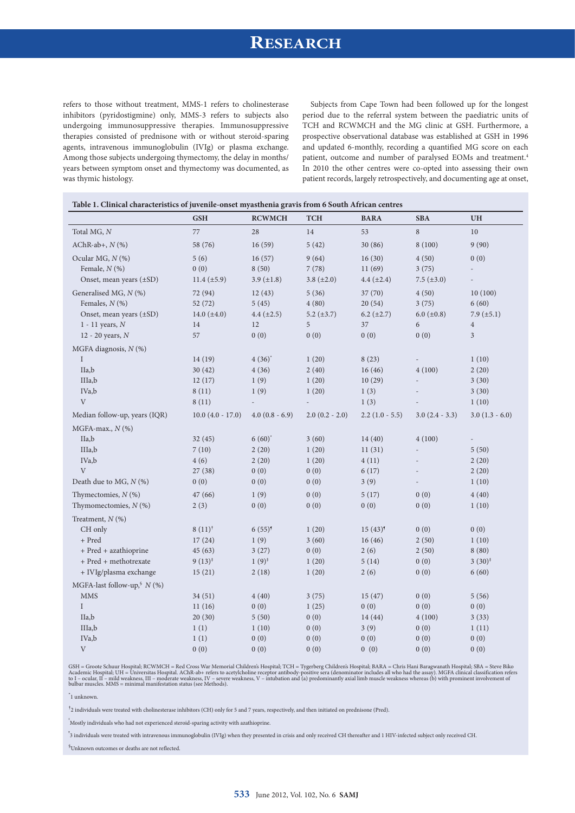# **RESEARCH**

refers to those without treatment, MMS-1 refers to cholinesterase inhibitors (pyridostigmine) only, MMS-3 refers to subjects also undergoing immunosuppressive therapies. Immunosuppressive therapies consisted of prednisone with or without steroid-sparing agents, intravenous immunoglobulin (IVIg) or plasma exchange. Among those subjects undergoing thymectomy, the delay in months/ years between symptom onset and thymectomy was documented, as was thymic histology.

Subjects from Cape Town had been followed up for the longest period due to the referral system between the paediatric units of TCH and RCWMCH and the MG clinic at GSH. Furthermore, a prospective observational database was established at GSH in 1996 and updated 6-monthly, recording a quantified MG score on each patient, outcome and number of paralysed EOMs and treatment.<sup>4</sup> In 2010 the other centres were co-opted into assessing their own patient records, largely retrospectively, and documenting age at onset,

|                                 | <b>GSH</b>          | <b>RCWMCH</b>        | <b>TCH</b>       | <b>BARA</b>      | <b>SBA</b>       | <b>UH</b>                |
|---------------------------------|---------------------|----------------------|------------------|------------------|------------------|--------------------------|
| Total MG, N                     | 77                  | 28                   | 14               | 53               | $\,8\,$          | $10\,$                   |
| AChR-ab+, $N$ (%)               | 58 (76)             | 16(59)               | 5(42)            | 30 (86)          | 8(100)           | 9(90)                    |
| Ocular MG, N (%)                | 5(6)                | 16(57)               | 9(64)            | 16(30)           | 4(50)            | 0(0)                     |
| Female, $N$ (%)                 | 0(0)                | 8(50)                | 7(78)            | 11(69)           | 3(75)            |                          |
| Onset, mean years (±SD)         | $11.4 \ (\pm 5.9)$  | $3.9 \ (\pm 1.8)$    | $3.8 (\pm 2.0)$  | 4.4 $(\pm 2.4)$  | 7.5 $(\pm 3.0)$  |                          |
| Generalised MG, N (%)           | 72 (94)             | 12(43)               | 5(36)            | 37 (70)          | 4(50)            | 10(100)                  |
| Females, $N$ (%)                | 52(72)              | 5(45)                | 4(80)            | 20(54)           | 3(75)            | 6(60)                    |
| Onset, mean years (±SD)         | 14.0 $(\pm 4.0)$    | 4.4 $(\pm 2.5)$      | 5.2 $(\pm 3.7)$  | $6.2 (\pm 2.7)$  | 6.0 $(\pm 0.8)$  | $7.9 \ (\pm 5.1)$        |
| $1 - 11$ years, $N$             | 14                  | 12                   | 5                | 37               | $\boldsymbol{6}$ | $\overline{4}$           |
| 12 - 20 years, N                | 57                  | 0(0)                 | 0(0)             | 0(0)             | 0(0)             | $\mathfrak{Z}$           |
| MGFA diagnosis, N (%)           |                     |                      |                  |                  |                  |                          |
| $\rm I$                         | 14(19)              | $4(36)^{*}$          | 1(20)            | 8(23)            |                  | 1(10)                    |
| IIa,b                           | 30(42)              | 4(36)                | 2(40)            | 16(46)           | 4(100)           | 2(20)                    |
| IIIa,b                          | 12(17)              | 1(9)                 | 1(20)            | 10(29)           | $\overline{a}$   | 3(30)                    |
| IVa,b                           | 8(11)               | 1(9)                 | 1(20)            | 1(3)             |                  | 3(30)                    |
| $\mathbf{V}$                    | 8(11)               |                      | $\overline{a}$   | 1(3)             |                  | 1(10)                    |
| Median follow-up, years (IQR)   | $10.0 (4.0 - 17.0)$ | $4.0(0.8 - 6.9)$     | $2.0(0.2 - 2.0)$ | $2.2(1.0 - 5.5)$ | $3.0(2.4 - 3.3)$ | $3.0(1.3 - 6.0)$         |
| MGFA-max., $N$ (%)              |                     |                      |                  |                  |                  |                          |
| IIa,b                           | 32(45)              | $6(60)$ <sup>*</sup> | 3(60)            | 14(40)           | 4(100)           | $\overline{\phantom{a}}$ |
| IIIa,b                          | 7(10)               | 2(20)                | 1(20)            | 11(31)           |                  | 5(50)                    |
| IVa,b                           | 4(6)                | 2(20)                | 1(20)            | 4(11)            |                  | 2(20)                    |
| V                               | 27(38)              | 0(0)                 | 0(0)             | 6(17)            | $\overline{a}$   | 2(20)                    |
| Death due to MG, $N$ (%)        | 0(0)                | 0(0)                 | 0(0)             | 3(9)             |                  | 1(10)                    |
| Thymectomies, $N$ (%)           | 47(66)              | 1(9)                 | 0(0)             | 5(17)            | 0(0)             | 4(40)                    |
| Thymomectomies, $N$ (%)         | 2(3)                | 0(0)                 | 0(0)             | 0(0)             | 0(0)             | 1(10)                    |
| Treatment, $N$ (%)              |                     |                      |                  |                  |                  |                          |
| CH only                         | $8(11)^{†}$         | $6(55)^{9}$          | 1(20)            | $15(43)^{9}$     | 0(0)             | 0(0)                     |
| + Pred                          | 17(24)              | 1(9)                 | 3(60)            | 16(46)           | 2(50)            | 1(10)                    |
| $\,$ + Pred $\,$ + azathioprine | 45(63)              | 3(27)                | 0(0)             | 2(6)             | 2(50)            | 8(80)                    |
| + Pred + methotrexate           | $9(13)^{\ddagger}$  | $1(9)^{\ddagger}$    | 1(20)            | 5(14)            | 0(0)             | $3(30)^{\ddagger}$       |
| + IVIg/plasma exchange          | 15(21)              | 2(18)                | 1(20)            | 2(6)             | 0(0)             | 6(60)                    |
| MGFA-last follow-up, $N$ (%)    |                     |                      |                  |                  |                  |                          |
| <b>MMS</b>                      | 34(51)              | 4(40)                | 3(75)            | 15(47)           | 0(0)             | 5(56)                    |
| $\rm I$                         | 11(16)              | 0(0)                 | 1(25)            | 0(0)             | 0(0)             | 0(0)                     |
| IIa,b                           | 20(30)              | 5(50)                | 0(0)             | 14(44)           | 4(100)           | 3(33)                    |
| IIIa,b                          | 1(1)                | 1(10)                | 0(0)             | 3(9)             | 0(0)             | 1(11)                    |
| IVa,b                           | 1(1)                | 0(0)                 | 0(0)             | 0(0)             | 0(0)             | 0(0)                     |
| V                               | 0(0)                | 0(0)                 | 0(0)             | 0(0)             | 0(0)             | 0(0)                     |

GSH = Groote Schuur Hospital; RCWMCH = Red Cross War Memorial Children's Hospital; TCH = Tygerberg Children's Hospital; BARA = Chris Hani Baragwanath Hospital; SBA = Steve Biko<br>Academic Hospital; UH = Universitas Hospital.

\* 1 unknown.

<sup>†</sup>2 individuals were treated with cholinesterase inhibitors (CH) only for 5 and 7 years, respectively, and then initiated on prednisone (Pred).

‡ Mostly individuals who had not experienced steroid-sparing activity with azathioprine.

,<br>3 individuals were treated with intravenous immunoglobulin (IVIg) when they presented in crisis and only received CH thereafter and 1 HIV-infected subject only received CH.

§ Unknown outcomes or deaths are not reflected.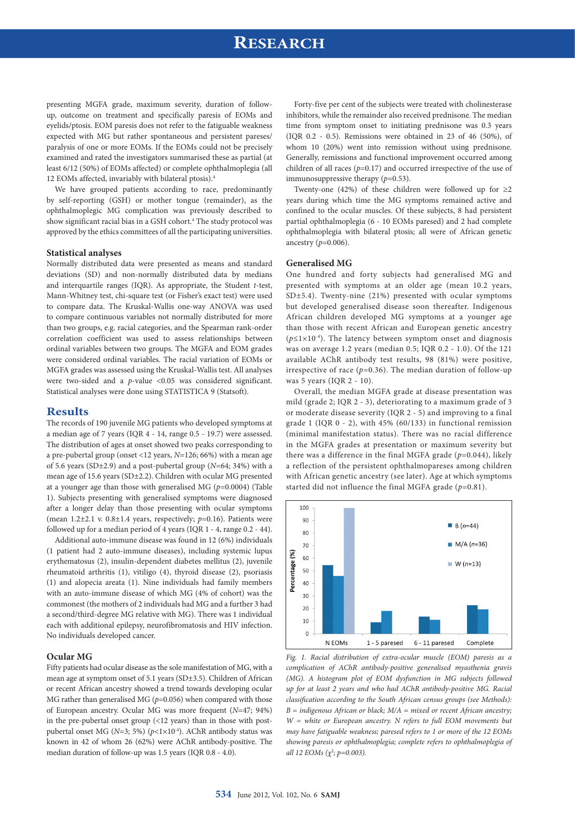# **RESEARCH**

presenting MGFA grade, maximum severity, duration of followup, outcome on treatment and specifically paresis of EOMs and eyelids/ptosis. EOM paresis does not refer to the fatiguable weakness expected with MG but rather spontaneous and persistent pareses/ paralysis of one or more EOMs. If the EOMs could not be precisely examined and rated the investigators summarised these as partial (at least 6/12 (50%) of EOMs affected) or complete ophthalmoplegia (all 12 EOMs affected, invariably with bilateral ptosis).4

We have grouped patients according to race, predominantly by self-reporting (GSH) or mother tongue (remainder), as the ophthalmoplegic MG complication was previously described to show significant racial bias in a GSH cohort.<sup>4</sup> The study protocol was approved by the ethics committees of all the participating universities.

#### **Statistical analyses**

Normally distributed data were presented as means and standard deviations (SD) and non-normally distributed data by medians and interquartile ranges (IQR). As appropriate, the Student *t*-test, Mann-Whitney test, chi-square test (or Fisher's exact test) were used to compare data. The Kruskal-Wallis one-way ANOVA was used to compare continuous variables not normally distributed for more than two groups, e.g. racial categories, and the Spearman rank-order correlation coefficient was used to assess relationships between ordinal variables between two groups. The MGFA and EOM grades were considered ordinal variables. The racial variation of EOMs or MGFA grades was assessed using the Kruskal-Wallis test. All analyses were two-sided and a *p*-value <0.05 was considered significant. Statistical analyses were done using STATISTICA 9 (Statsoft).

#### **Results**

The records of 190 juvenile MG patients who developed symptoms at a median age of 7 years (IQR 4 - 14, range 0.5 - 19.7) were assessed. The distribution of ages at onset showed two peaks corresponding to a pre-pubertal group (onset <12 years, *N*=126; 66%) with a mean age of 5.6 years (SD±2.9) and a post-pubertal group (*N*=64; 34%) with a mean age of 15.6 years (SD±2.2). Children with ocular MG presented at a younger age than those with generalised MG (*p*=0.0004) (Table 1). Subjects presenting with generalised symptoms were diagnosed after a longer delay than those presenting with ocular symptoms (mean 1.2±2.1 v. 0.8±1.4 years, respectively; *p*=0.16). Patients were followed up for a median period of 4 years (IQR 1 - 4, range 0.2 - 44).

Additional auto-immune disease was found in 12 (6%) individuals (1 patient had 2 auto-immune diseases), including systemic lupus erythematosus (2), insulin-dependent diabetes mellitus (2), juvenile rheumatoid arthritis (1), vitiligo (4), thyroid disease (2), psoriasis (1) and alopecia areata (1). Nine individuals had family members with an auto-immune disease of which MG (4% of cohort) was the commonest (the mothers of 2 individuals had MG and a further 3 had a second/third-degree MG relative with MG). There was 1 individual each with additional epilepsy, neurofibromatosis and HIV infection. No individuals developed cancer.

#### **Ocular MG**

Fifty patients had ocular disease as the sole manifestation of MG, with a mean age at symptom onset of 5.1 years (SD±3.5). Children of African or recent African ancestry showed a trend towards developing ocular MG rather than generalised MG  $(p=0.056)$  when compared with those of European ancestry. Ocular MG was more frequent (*N*=47; 94%) in the pre-pubertal onset group (<12 years) than in those with postpubertal onset MG (*N*=3; 5%) (*p*<1×10-4). AChR antibody status was known in 42 of whom 26 (62%) were AChR antibody-positive. The median duration of follow-up was 1.5 years (IQR 0.8 - 4.0).

Forty-five per cent of the subjects were treated with cholinesterase inhibitors, while the remainder also received prednisone. The median time from symptom onset to initiating prednisone was 0.3 years (IQR 0.2 - 0.5). Remissions were obtained in 23 of 46 (50%), of whom 10 (20%) went into remission without using prednisone. Generally, remissions and functional improvement occurred among children of all races  $(p=0.17)$  and occurred irrespective of the use of immunosuppressive therapy  $(p=0.53)$ .

Twenty-one (42%) of these children were followed up for  $\geq 2$ years during which time the MG symptoms remained active and confined to the ocular muscles. Of these subjects, 8 had persistent partial ophthalmoplegia (6 - 10 EOMs paresed) and 2 had complete ophthalmoplegia with bilateral ptosis; all were of African genetic ancestry (*p*=0.006).

#### **Generalised MG**

One hundred and forty subjects had generalised MG and presented with symptoms at an older age (mean 10.2 years, SD±5.4). Twenty-nine (21%) presented with ocular symptoms but developed generalised disease soon thereafter. Indigenous African children developed MG symptoms at a younger age than those with recent African and European genetic ancestry (*p*≤1×10-4). The latency between symptom onset and diagnosis was on average 1.2 years (median 0.5; IQR 0.2 - 1.0). Of the 121 available AChR antibody test results, 98 (81%) were positive, irrespective of race (*p*=0.36). The median duration of follow-up was 5 years (IQR 2 - 10).

Overall, the median MGFA grade at disease presentation was mild (grade 2; IQR 2 - 3), deteriorating to a maximum grade of 3 or moderate disease severity (IQR 2 - 5) and improving to a final grade 1 (IQR  $0 - 2$ ), with 45% (60/133) in functional remission (minimal manifestation status). There was no racial difference in the MGFA grades at presentation or maximum severity but there was a difference in the final MGFA grade  $(p=0.044)$ , likely a reflection of the persistent ophthalmopareses among children with African genetic ancestry (see later). Age at which symptoms started did not influence the final MGFA grade (*p*=0.81).



*Fig. 1. Racial distribution of extra-ocular muscle (EOM) paresis as a complication of AChR antibody-positive generalised myasthenia gravis (MG). A histogram plot of EOM dysfunction in MG subjects followed up for at least 2 years and who had AChR antibody-positive MG. Racial classification according to the South African census groups (see Methods): B = indigenous African or black; M/A = mixed or recent African ancestry; W = white or European ancestry. N refers to full EOM movements but may have fatiguable weakness; paresed refers to 1 or more of the 12 EOMs showing paresis or ophthalmoplegia; complete refers to ophthalmoplegia of all 12 EOMs (χ<sup>2</sup>; p=0.003).*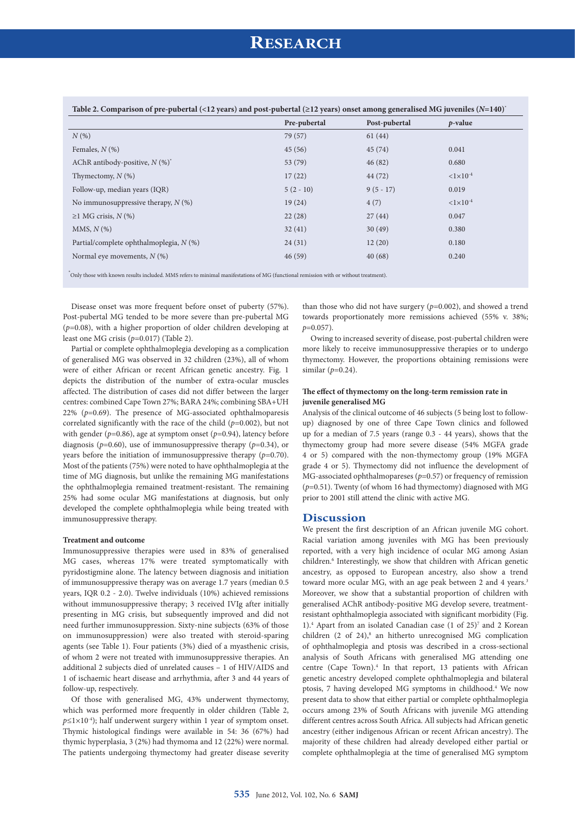| Table 2. Comparison of pre-pubertal (<12 years) and post-pubertal ( $\geq$ 12 years) onset among generalised MG juveniles ( $N=140$ ) <sup>*</sup> |              |               |                   |  |  |
|----------------------------------------------------------------------------------------------------------------------------------------------------|--------------|---------------|-------------------|--|--|
|                                                                                                                                                    | Pre-pubertal | Post-pubertal | $p$ -value        |  |  |
| $N(\%)$                                                                                                                                            | 79 (57)      | 61(44)        |                   |  |  |
| Females, $N$ (%)                                                                                                                                   | 45(56)       | 45(74)        | 0.041             |  |  |
| AChR antibody-positive, $N$ (%) <sup>*</sup>                                                                                                       | 53(79)       | 46(82)        | 0.680             |  |  |
| Thymectomy, $N$ (%)                                                                                                                                | 17(22)       | 44 (72)       | $<1\times10^{-4}$ |  |  |
| Follow-up, median years (IQR)                                                                                                                      | $5(2-10)$    | $9(5-17)$     | 0.019             |  |  |
| No immunosuppressive therapy, $N$ (%)                                                                                                              | 19(24)       | 4(7)          | $<1\times10^{-4}$ |  |  |
| $\geq$ 1 MG crisis, N (%)                                                                                                                          | 22(28)       | 27(44)        | 0.047             |  |  |
| MMS, $N$ $(\%)$                                                                                                                                    | 32(41)       | 30(49)        | 0.380             |  |  |
| Partial/complete ophthalmoplegia, N (%)                                                                                                            | 24(31)       | 12(20)        | 0.180             |  |  |
| Normal eye movements, $N$ (%)                                                                                                                      | 46(59)       | 40(68)        | 0.240             |  |  |
|                                                                                                                                                    |              |               |                   |  |  |

\* Only those with known results included. MMS refers to minimal manifestations of MG (functional remission with or without treatment).

Disease onset was more frequent before onset of puberty (57%). Post-pubertal MG tended to be more severe than pre-pubertal MG (*p*=0.08), with a higher proportion of older children developing at least one MG crisis (*p*=0.017) (Table 2).

Partial or complete ophthalmoplegia developing as a complication of generalised MG was observed in 32 children (23%), all of whom were of either African or recent African genetic ancestry. Fig. 1 depicts the distribution of the number of extra-ocular muscles affected. The distribution of cases did not differ between the larger centres: combined Cape Town 27%; BARA 24%; combining SBA+UH 22% (*p*=0.69). The presence of MG-associated ophthalmoparesis correlated significantly with the race of the child (*p*=0.002), but not with gender (*p*=0.86), age at symptom onset (*p*=0.94), latency before diagnosis (*p*=0.60), use of immunosuppressive therapy (*p*=0.34), or years before the initiation of immunosuppressive therapy (*p*=0.70). Most of the patients (75%) were noted to have ophthalmoplegia at the time of MG diagnosis, but unlike the remaining MG manifestations the ophthalmoplegia remained treatment-resistant. The remaining 25% had some ocular MG manifestations at diagnosis, but only developed the complete ophthalmoplegia while being treated with immunosuppressive therapy.

#### **Treatment and outcome**

Immunosuppressive therapies were used in 83% of generalised MG cases, whereas 17% were treated symptomatically with pyridostigmine alone. The latency between diagnosis and initiation of immunosuppressive therapy was on average 1.7 years (median 0.5 years, IQR 0.2 - 2.0). Twelve individuals (10%) achieved remissions without immunosuppressive therapy; 3 received IVIg after initially presenting in MG crisis, but subsequently improved and did not need further immunosuppression. Sixty-nine subjects (63% of those on immunosuppression) were also treated with steroid-sparing agents (see Table 1). Four patients (3%) died of a myasthenic crisis, of whom 2 were not treated with immunosuppressive therapies. An additional 2 subjects died of unrelated causes – 1 of HIV/AIDS and 1 of ischaemic heart disease and arrhythmia, after 3 and 44 years of follow-up, respectively.

Of those with generalised MG, 43% underwent thymectomy, which was performed more frequently in older children (Table 2,  $p \le 1 \times 10^{-4}$ ); half underwent surgery within 1 year of symptom onset. Thymic histological findings were available in 54: 36 (67%) had thymic hyperplasia, 3 (2%) had thymoma and 12 (22%) were normal. The patients undergoing thymectomy had greater disease severity

than those who did not have surgery (*p*=0.002), and showed a trend towards proportionately more remissions achieved (55% v. 38%; *p*=0.057).

Owing to increased severity of disease, post-pubertal children were more likely to receive immunosuppressive therapies or to undergo thymectomy. However, the proportions obtaining remissions were similar (*p*=0.24).

#### **The effect of thymectomy on the long-term remission rate in juvenile generalised MG**

Analysis of the clinical outcome of 46 subjects (5 being lost to followup) diagnosed by one of three Cape Town clinics and followed up for a median of 7.5 years (range 0.3 - 44 years), shows that the thymectomy group had more severe disease (54% MGFA grade 4 or 5) compared with the non-thymectomy group (19% MGFA grade 4 or 5). Thymectomy did not influence the development of MG-associated ophthalmopareses (*p*=0.57) or frequency of remission (*p*=0.51). Twenty (of whom 16 had thymectomy) diagnosed with MG prior to 2001 still attend the clinic with active MG.

### **Discussion**

We present the first description of an African juvenile MG cohort. Racial variation among juveniles with MG has been previously reported, with a very high incidence of ocular MG among Asian children.<sup>6</sup> Interestingly, we show that children with African genetic ancestry, as opposed to European ancestry, also show a trend toward more ocular MG, with an age peak between 2 and 4 years.<sup>3</sup> Moreover, we show that a substantial proportion of children with generalised AChR antibody-positive MG develop severe, treatmentresistant ophthalmoplegia associated with significant morbidity (Fig. 1).4 Apart from an isolated Canadian case (1 of 25)7 and 2 Korean children (2 of 24),<sup>8</sup> an hitherto unrecognised MG complication of ophthalmoplegia and ptosis was described in a cross-sectional analysis of South Africans with generalised MG attending one centre (Cape Town).<sup>4</sup> In that report, 13 patients with African genetic ancestry developed complete ophthalmoplegia and bilateral ptosis, 7 having developed MG symptoms in childhood.4 We now present data to show that either partial or complete ophthalmoplegia occurs among 23% of South Africans with juvenile MG attending different centres across South Africa. All subjects had African genetic ancestry (either indigenous African or recent African ancestry). The majority of these children had already developed either partial or complete ophthalmoplegia at the time of generalised MG symptom